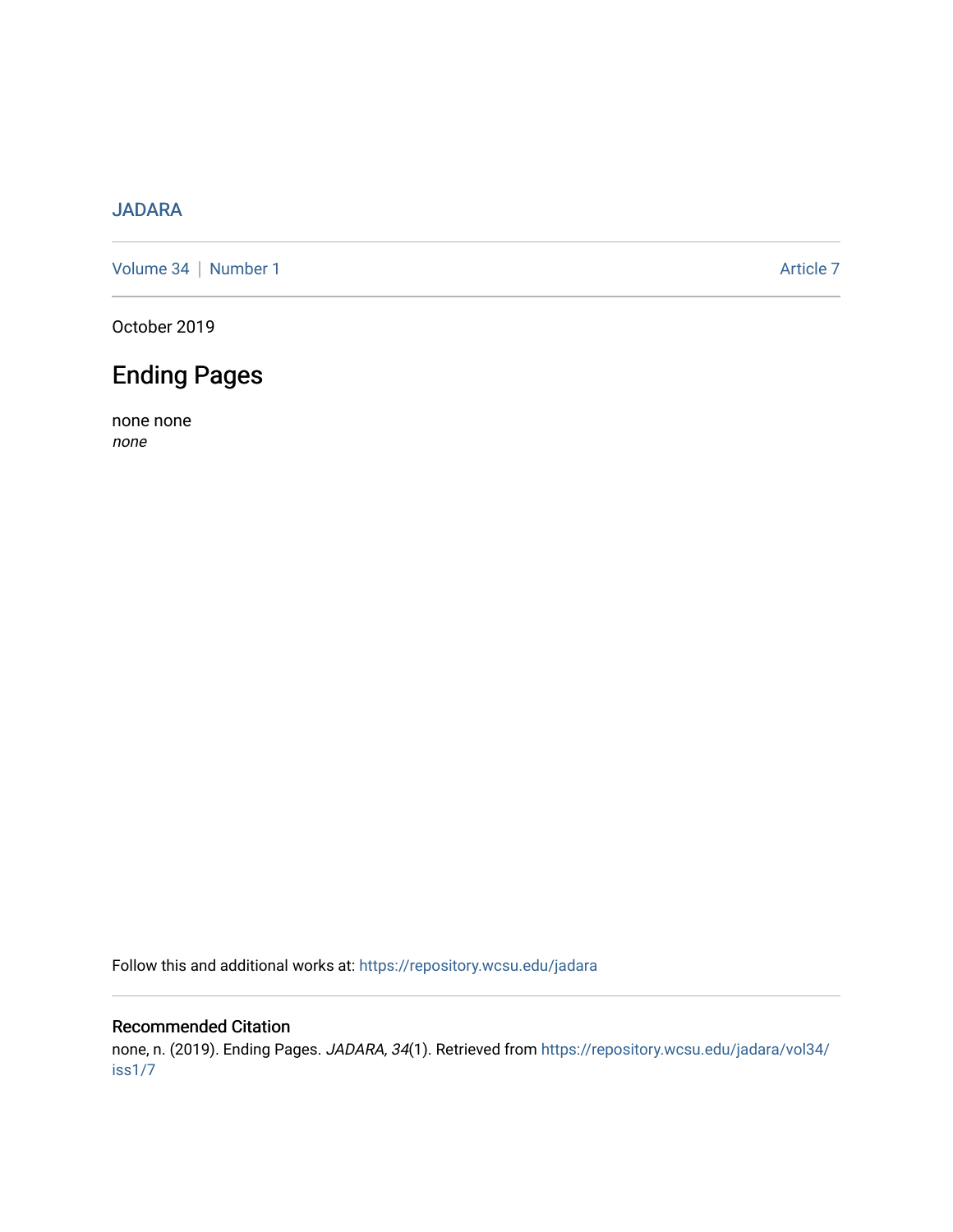## [JADARA](https://repository.wcsu.edu/jadara)

[Volume 34](https://repository.wcsu.edu/jadara/vol34) | [Number 1](https://repository.wcsu.edu/jadara/vol34/iss1) Article 7

October 2019

## Ending Pages

none none none

Follow this and additional works at: [https://repository.wcsu.edu/jadara](https://repository.wcsu.edu/jadara?utm_source=repository.wcsu.edu%2Fjadara%2Fvol34%2Fiss1%2F7&utm_medium=PDF&utm_campaign=PDFCoverPages)

## Recommended Citation

none, n. (2019). Ending Pages. JADARA, 34(1). Retrieved from [https://repository.wcsu.edu/jadara/vol34/](https://repository.wcsu.edu/jadara/vol34/iss1/7?utm_source=repository.wcsu.edu%2Fjadara%2Fvol34%2Fiss1%2F7&utm_medium=PDF&utm_campaign=PDFCoverPages) [iss1/7](https://repository.wcsu.edu/jadara/vol34/iss1/7?utm_source=repository.wcsu.edu%2Fjadara%2Fvol34%2Fiss1%2F7&utm_medium=PDF&utm_campaign=PDFCoverPages)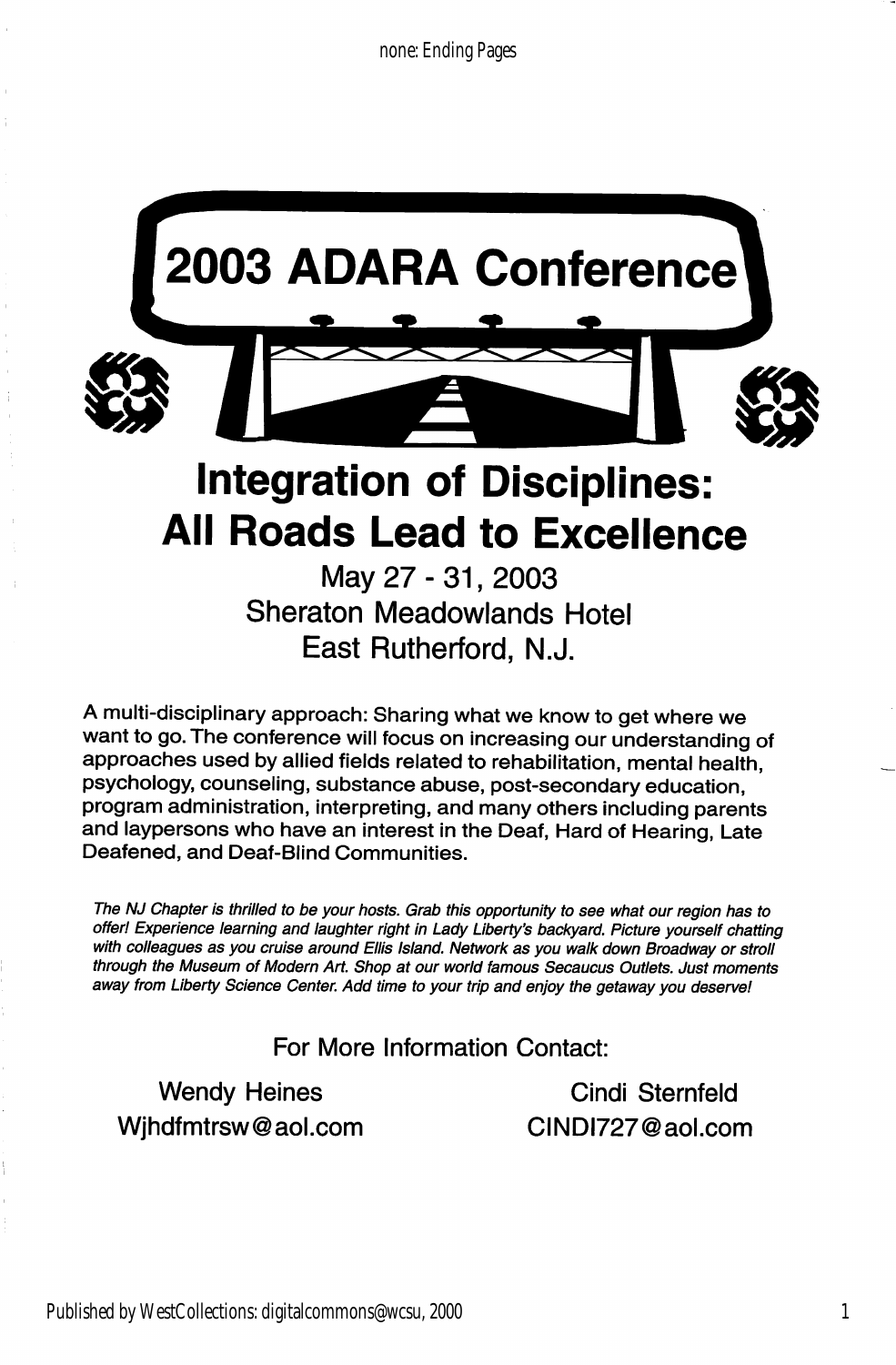

May 27 - 31, 2003 Sheraton Meadowlands Hotel East Rutherford, N.J.

A multi-disciplinary approach: Sharing what we know to get where we want to go. The conference will focus on increasing our understanding of approaches used by allied fields related to rehabilitation, mental health, psychology, counseling, substance abuse, post-secondary education, program administration, interpreting, and many others including parents and laypersons who have an interest in the Deaf, Hard of Hearing, Late Deafened, and Deaf-Blind Communities.

The NJ Chapter is thrilled to be your hosts. Grab this opportunity to see what our region has to offer! Experience learning and laughter right in Lady Liberty's backyard. Picture yourself chatting with colleagues as you cruise around Ellis Island. Network as you walk down Broadway or stroll through the Museum of Modern Art. Shop at our world famous Secaucus Outlets. Just moments away from Liberty Science Center. Add time to your trip and enjoy the getaway you deserve!

For More Information Contact:

Wjhdfmtrsw@aol.com CINDI727@aol.com

Wendy Heines Cindi Sternfeld